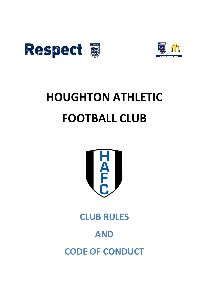



# **HOUGHTON ATHLETIC FOOTBALL CLUB**



**CLUB RULES** 

# **AND**

**CODE OF CONDUCT**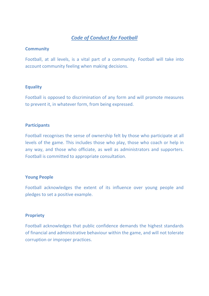# *Code of Conduct for Football*

#### **Community**

Football, at all levels, is a vital part of a community. Football will take into account community feeling when making decisions.

#### **Equality**

Football is opposed to discrimination of any form and will promote measures to prevent it, in whatever form, from being expressed.

#### **Participants**

Football recognises the sense of ownership felt by those who participate at all levels of the game. This includes those who play, those who coach or help in any way, and those who officiate, as well as administrators and supporters. Football is committed to appropriate consultation.

#### **Young People**

Football acknowledges the extent of its influence over young people and pledges to set a positive example.

#### **Propriety**

Football acknowledges that public confidence demands the highest standards of financial and administrative behaviour within the game, and will not tolerate corruption or improper practices.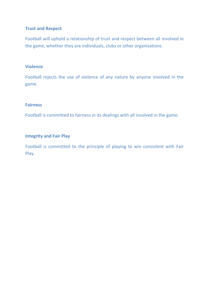#### **Trust and Respect**

Football will uphold a relationship of trust and respect between all involved in the game, whether they are individuals, clubs or other organisations.

#### **Violence**

Football rejects the use of violence of any nature by anyone involved in the game.

#### **Fairness**

Football is committed to fairness in its dealings with all involved in the game.

#### **Integrity and Fair Play**

Football is committed to the principle of playing to win consistent with Fair Play.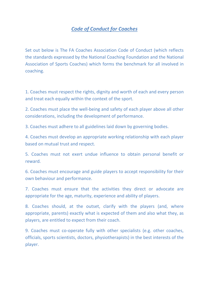# *Code of Conduct for Coaches*

Set out below is The FA Coaches Association Code of Conduct (which reflects the standards expressed by the National Coaching Foundation and the National Association of Sports Coaches) which forms the benchmark for all involved in coaching.

1. Coaches must respect the rights, dignity and worth of each and every person and treat each equally within the context of the sport.

2. Coaches must place the well-being and safety of each player above all other considerations, including the development of performance.

3. Coaches must adhere to all guidelines laid down by governing bodies.

4. Coaches must develop an appropriate working relationship with each player based on mutual trust and respect.

5. Coaches must not exert undue influence to obtain personal benefit or reward.

6. Coaches must encourage and guide players to accept responsibility for their own behaviour and performance.

7. Coaches must ensure that the activities they direct or advocate are appropriate for the age, maturity, experience and ability of players.

8. Coaches should, at the outset, clarify with the players (and, where appropriate, parents) exactly what is expected of them and also what they, as players, are entitled to expect from their coach.

9. Coaches must co-operate fully with other specialists (e.g. other coaches, officials, sports scientists, doctors, physiotherapists) in the best interests of the player.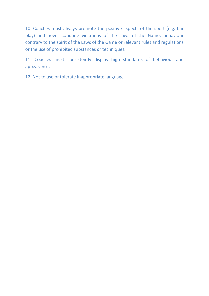10. Coaches must always promote the positive aspects of the sport (e.g. fair play) and never condone violations of the Laws of the Game, behaviour contrary to the spirit of the Laws of the Game or relevant rules and regulations or the use of prohibited substances or techniques.

11. Coaches must consistently display high standards of behaviour and appearance.

12. Not to use or tolerate inappropriate language.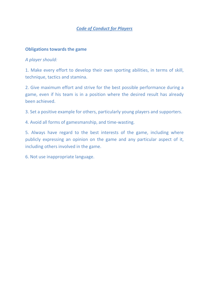## *Code of Conduct for Players*

#### **Obligations towards the game**

#### *A player should:*

1. Make every effort to develop their own sporting abilities, in terms of skill, technique, tactics and stamina.

2. Give maximum effort and strive for the best possible performance during a game, even if his team is in a position where the desired result has already been achieved.

3. Set a positive example for others, particularly young players and supporters.

4. Avoid all forms of gamesmanship, and time-wasting.

5. Always have regard to the best interests of the game, including where publicly expressing an opinion on the game and any particular aspect of it, including others involved in the game.

6. Not use inappropriate language.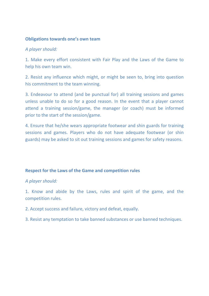#### **Obligations towards one's own team**

#### *A player should:*

1. Make every effort consistent with Fair Play and the Laws of the Game to help his own team win.

2. Resist any influence which might, or might be seen to, bring into question his commitment to the team winning.

3. Endeavour to attend (and be punctual for) all training sessions and games unless unable to do so for a good reason. In the event that a player cannot attend a training session/game, the manager (or coach) must be informed prior to the start of the session/game.

4. Ensure that he/she wears appropriate footwear and shin guards for training sessions and games. Players who do not have adequate footwear (or shin guards) may be asked to sit out training sessions and games for safety reasons.

#### **Respect for the Laws of the Game and competition rules**

#### *A player should:*

1. Know and abide by the Laws, rules and spirit of the game, and the competition rules.

- 2. Accept success and failure, victory and defeat, equally.
- 3. Resist any temptation to take banned substances or use banned techniques.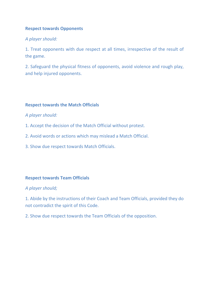#### **Respect towards Opponents**

#### *A player should:*

1. Treat opponents with due respect at all times, irrespective of the result of the game.

2. Safeguard the physical fitness of opponents, avoid violence and rough play, and help injured opponents.

#### **Respect towards the Match Officials**

#### *A player should:*

- 1. Accept the decision of the Match Official without protest.
- 2. Avoid words or actions which may mislead a Match Official.
- 3. Show due respect towards Match Officials.

#### **Respect towards Team Officials**

#### *A player should;*

1. Abide by the instructions of their Coach and Team Officials, provided they do not contradict the spirit of this Code.

2. Show due respect towards the Team Officials of the opposition.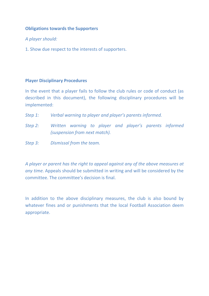#### **Obligations towards the Supporters**

*A player should:*

1. Show due respect to the interests of supporters.

#### **Player Disciplinary Procedures**

In the event that a player fails to follow the club rules or code of conduct (as described in this document), the following disciplinary procedures will be implemented:

- *Step 1: Verbal warning to player and player's parents informed.*
- *Step 2: Written warning to player and player's parents informed (suspension from next match).*
- *Step 3: Dismissal from the team.*

*A player or parent has the right to appeal against any of the above measures at any time.* Appeals should be submitted in writing and will be considered by the committee. The committee's decision is final.

In addition to the above disciplinary measures, the club is also bound by whatever fines and or punishments that the local Football Association deem appropriate.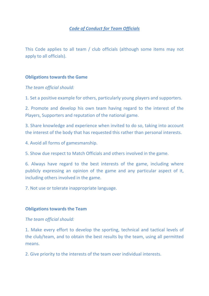# *Code of Conduct for Team Officials*

This Code applies to all team / club officials (although some items may not apply to all officials).

#### **Obligations towards the Game**

*The team official should:*

1. Set a positive example for others, particularly young players and supporters.

2. Promote and develop his own team having regard to the interest of the Players, Supporters and reputation of the national game.

3. Share knowledge and experience when invited to do so, taking into account the interest of the body that has requested this rather than personal interests.

4. Avoid all forms of gamesmanship.

5. Show due respect to Match Officials and others involved in the game.

6. Always have regard to the best interests of the game, including where publicly expressing an opinion of the game and any particular aspect of it, including others involved in the game.

7. Not use or tolerate inappropriate language.

#### **Obligations towards the Team**

#### *The team official should:*

1. Make every effort to develop the sporting, technical and tactical levels of the club/team, and to obtain the best results by the team, using all permitted means.

2. Give priority to the interests of the team over individual interests.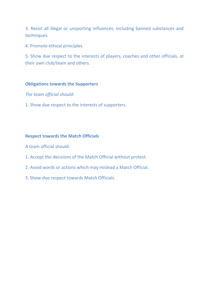3. Resist all illegal or unsporting influences, including banned substances and techniques.

4. Promote ethical principles.

5. Show due respect to the interests of players, coaches and other officials, at their own club/team and others.

#### **Obligations towards the Supporters**

*The team official should:*

1. Show due respect to the interests of supporters.

#### **Respect towards the Match Officials**

A team official should:

- 1. Accept the decisions of the Match Official without protest.
- 2. Avoid words or actions which may mislead a Match Official.
- 3. Show due respect towards Match Officials.